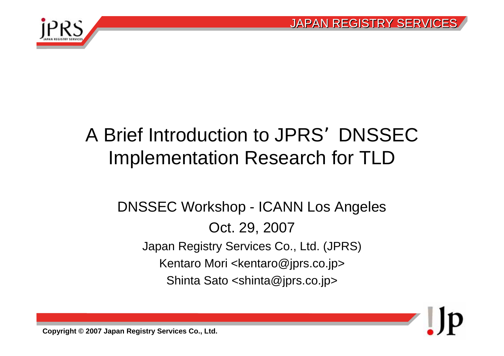$\blacksquare$ 



## A Brief Introduction to JPRS DNSSEC Implementation Research for TLD

#### DNSSEC Workshop - ICANN Los Angeles Oct. 29, 2007 Japan Registry Services Co., Ltd. (JPRS) Kentaro Mori <kentaro@jprs.co.jp> Shinta Sato <shinta@jprs.co.jp>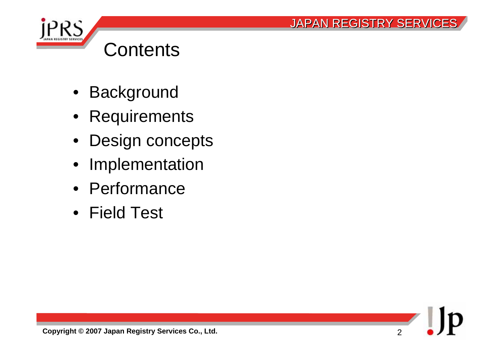



### **Contents**

- Background
- Requirements
- Design concepts
- Implementation
- Performance
- Field Test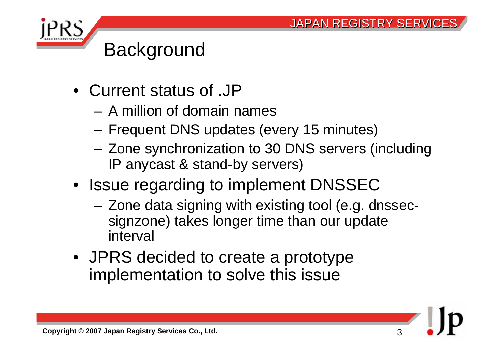

### **Background**

- Current status of .JP
	- A million of domain names
	- Frequent DNS updates (every 15 minutes)
	- Zone synchronization to 30 DNS servers (including IP anycast & stand-by servers)
- Issue regarding to implement DNSSEC
	- Zone data signing with existing tool (e.g. dnssecsignzone) takes longer time than our update interval
- JPRS decided to create a prototype implementation to solve this issue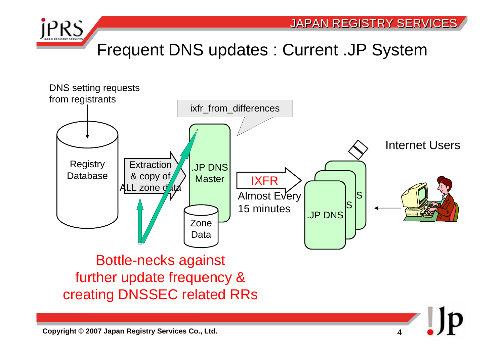

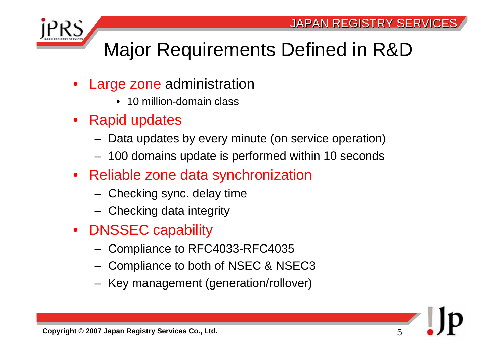

### Major Requirements Defined in R&D

- • Large zone administration
	- 10 million-domain class
- Rapid updates
	- –Data updates by every minute (on service operation)
	- –100 domains update is performed within 10 seconds
- Reliable zone data synchronization
	- –Checking sync. delay time
	- –Checking data integrity
- DNSSEC capability
	- –Compliance to RFC4033-RFC4035
	- –Compliance to both of NSEC & NSEC3
	- –Key management (generation/rollover)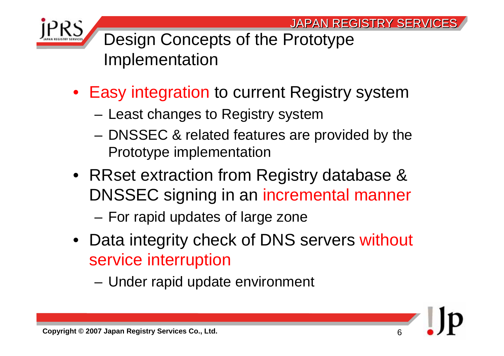6



Design Concepts of the Prototype Implementation

- Easy integration to current Registry system
	- –Least changes to Registry system
	- DNSSEC & related features are provided by the Prototype implementation
- RRset extraction from Registry database & DNSSEC signing in an incremental manner

For rapid updates of large zone

- Data integrity check of DNS servers without service interruption
	- –Under rapid update environment

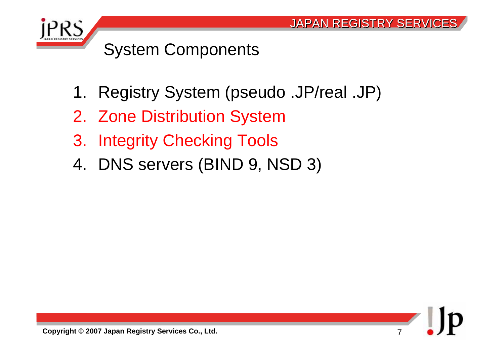

### System Components

- 1. Registry System (pseudo .JP/real .JP)
- 2. Zone Distribution System
- 3. Integrity Checking Tools
- 4. DNS servers (BIND 9, NSD 3)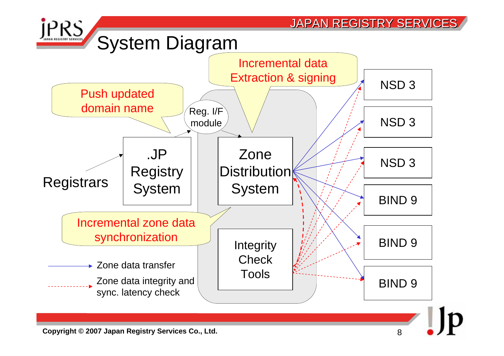

**Copyright © 2007 Japan Registry Services Co., Ltd.**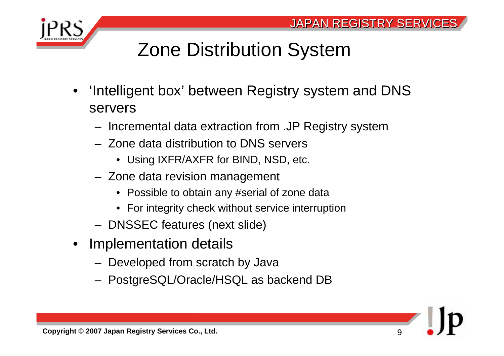

### Zone Distribution System

- • 'Intelligent box' between Registry system and DNS servers
	- Incremental data extraction from .JP Registry system
	- Zone data distribution to DNS servers
		- Using IXFR/AXFR for BIND, NSD, etc.
	- Zone data revision management
		- Possible to obtain any #serial of zone data
		- For integrity check without service interruption
	- DNSSEC features (next slide)
- Implementation details
	- Developed from scratch by Java
	- PostgreSQL/Oracle/HSQL as backend DB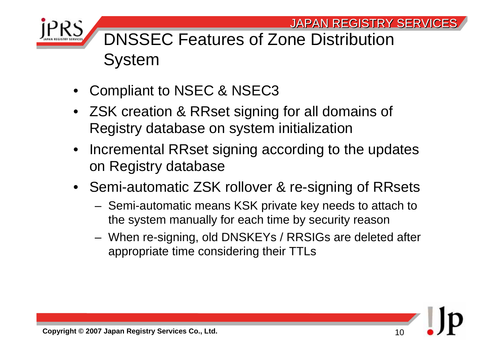

### DNSSEC Features of Zone Distribution System

- •Compliant to NSEC & NSEC3
- ZSK creation & RRset signing for all domains of Registry database on system initialization
- Incremental RRset signing according to the updates on Registry database
- Semi-automatic ZSK rollover & re-signing of RRsets
	- Semi-automatic means KSK private key needs to attach to the system manually for each time by security reason
	- When re-signing, old DNSKEYs / RRSIGs are deleted after appropriate time considering their TTLs

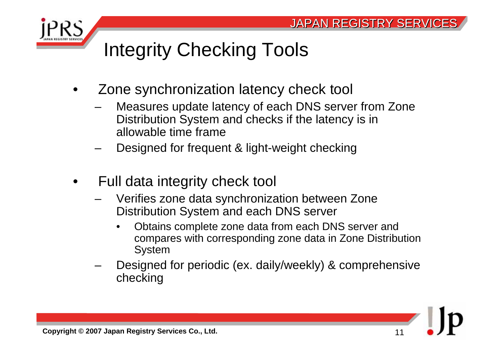

## Integrity Checking Tools

- • Zone synchronization latency check tool
	- Measures update latency of each DNS server from Zone Distribution System and checks if the latency is in allowable time frame
	- Designed for frequent & light-weight checking
- • Full data integrity check tool
	- Verifies zone data synchronization between Zone Distribution System and each DNS server
		- • Obtains complete zone data from each DNS server and compares with corresponding zone data in Zone Distribution System
	- Designed for periodic (ex. daily/weekly) & comprehensive checking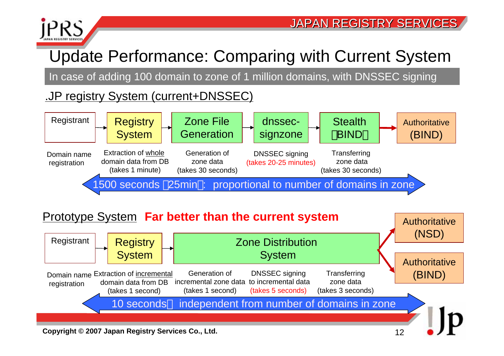

### Update Performance: Comparing with Current System

In case of adding 100 domain to zone of 1 million domains, with DNSSEC signing

.JP registry System (current+DNSSEC)



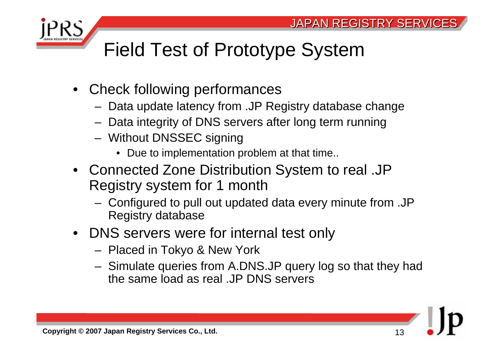

## Field Test of Prototype System

- Check following performances
	- Data update latency from .JP Registry database change
	- Data integrity of DNS servers after long term running
	- Without DNSSEC signing
		- Due to implementation problem at that time..
- Connected Zone Distribution System to real .JP Registry system for 1 month
	- Configured to pull out updated data every minute from .JP Registry database
- DNS servers were for internal test only
	- Placed in Tokyo & New York
	- Simulate queries from A.DNS.JP query log so that they had the same load as real .JP DNS servers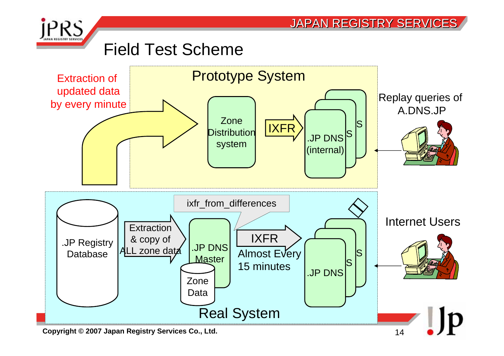

**Copyright © 2007 Japan Registry Services Co., Ltd.** 14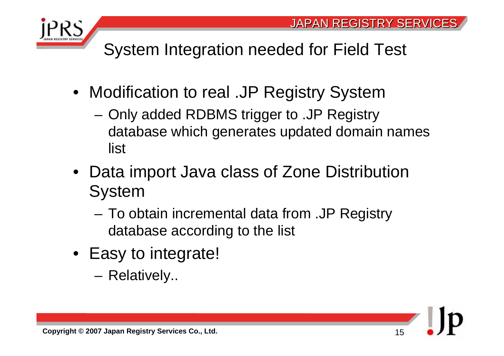



System Integration needed for Field Test

- Modification to real .JP Registry System
	- Only added RDBMS trigger to .JP Registry database which generates updated domain names list
- Data import Java class of Zone Distribution System
	- To obtain incremental data from .JP Registry database according to the list
- Easy to integrate!
	- –Relatively..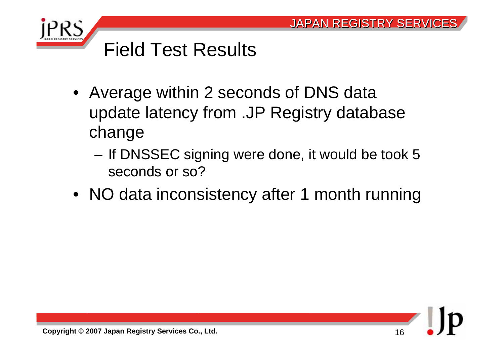

### Field Test Results

- Average within 2 seconds of DNS data update latency from .JP Registry database change
	- If DNSSEC signing were done, it would be took 5 seconds or so?
- NO data inconsistency after 1 month running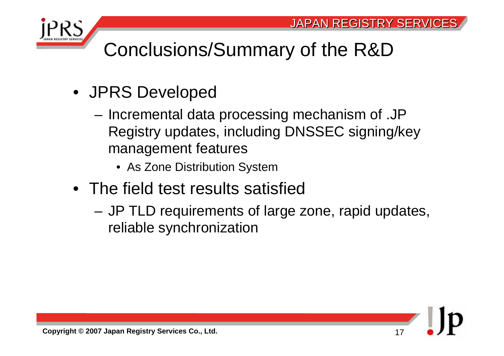

### Conclusions/Summary of the R&D

- JPRS Developed
	- Incremental data processing mechanism of .JP Registry updates, including DNSSEC signing/key management features
		- As Zone Distribution System
- The field test results satisfied
	- JP TLD requirements of large zone, rapid updates, reliable synchronization